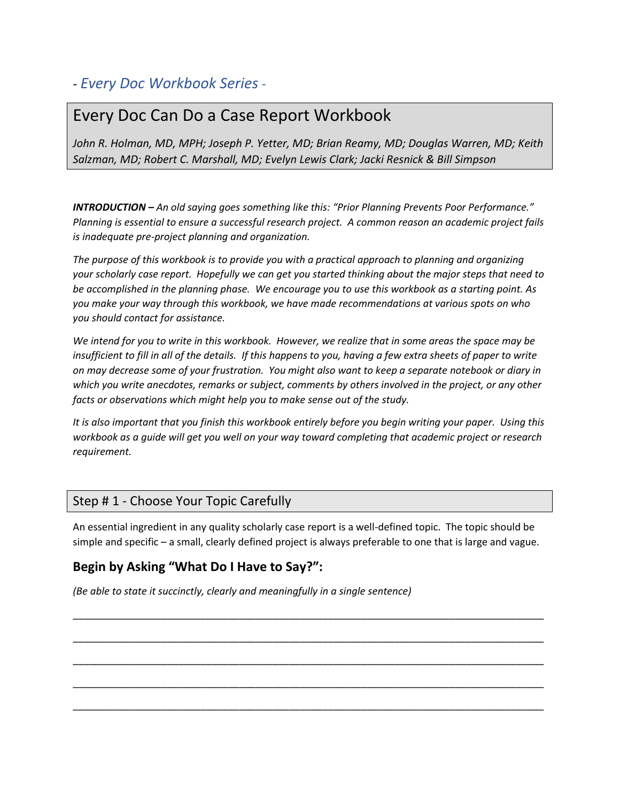# *- Every Doc Workbook Series -*

# Every Doc Can Do a Case Report Workbook

*John R. Holman, MD, MPH; Joseph P. Yetter, MD; Brian Reamy, MD; Douglas Warren, MD; Keith Salzman, MD; Robert C. Marshall, MD; Evelyn Lewis Clark; Jacki Resnick & Bill Simpson*

*INTRODUCTION – An old saying goes something like this: "Prior Planning Prevents Poor Performance." Planning is essential to ensure a successful research project. A common reason an academic project fails is inadequate pre-project planning and organization.*

*The purpose of this workbook is to provide you with a practical approach to planning and organizing your scholarly case report. Hopefully we can get you started thinking about the major steps that need to be accomplished in the planning phase. We encourage you to use this workbook as a starting point. As you make your way through this workbook, we have made recommendations at various spots on who you should contact for assistance.* 

*We intend for you to write in this workbook. However, we realize that in some areas the space may be insufficient to fill in all of the details. If this happens to you, having a few extra sheets of paper to write on may decrease some of your frustration. You might also want to keep a separate notebook or diary in which you write anecdotes, remarks or subject, comments by others involved in the project, or any other facts or observations which might help you to make sense out of the study.*

*It is also important that you finish this workbook entirely before you begin writing your paper. Using this workbook as a guide will get you well on your way toward completing that academic project or research requirement.*

## Step # 1 - Choose Your Topic Carefully

An essential ingredient in any quality scholarly case report is a well-defined topic. The topic should be simple and specific – a small, clearly defined project is always preferable to one that is large and vague.

\_\_\_\_\_\_\_\_\_\_\_\_\_\_\_\_\_\_\_\_\_\_\_\_\_\_\_\_\_\_\_\_\_\_\_\_\_\_\_\_\_\_\_\_\_\_\_\_\_\_\_\_\_\_\_\_\_\_\_\_\_\_\_\_\_\_\_\_\_\_\_\_\_\_\_\_\_\_\_\_\_\_\_\_\_

\_\_\_\_\_\_\_\_\_\_\_\_\_\_\_\_\_\_\_\_\_\_\_\_\_\_\_\_\_\_\_\_\_\_\_\_\_\_\_\_\_\_\_\_\_\_\_\_\_\_\_\_\_\_\_\_\_\_\_\_\_\_\_\_\_\_\_\_\_\_\_\_\_\_\_\_\_\_\_\_\_\_\_\_\_

\_\_\_\_\_\_\_\_\_\_\_\_\_\_\_\_\_\_\_\_\_\_\_\_\_\_\_\_\_\_\_\_\_\_\_\_\_\_\_\_\_\_\_\_\_\_\_\_\_\_\_\_\_\_\_\_\_\_\_\_\_\_\_\_\_\_\_\_\_\_\_\_\_\_\_\_\_\_\_\_\_\_\_\_\_

\_\_\_\_\_\_\_\_\_\_\_\_\_\_\_\_\_\_\_\_\_\_\_\_\_\_\_\_\_\_\_\_\_\_\_\_\_\_\_\_\_\_\_\_\_\_\_\_\_\_\_\_\_\_\_\_\_\_\_\_\_\_\_\_\_\_\_\_\_\_\_\_\_\_\_\_\_\_\_\_\_\_\_\_\_

\_\_\_\_\_\_\_\_\_\_\_\_\_\_\_\_\_\_\_\_\_\_\_\_\_\_\_\_\_\_\_\_\_\_\_\_\_\_\_\_\_\_\_\_\_\_\_\_\_\_\_\_\_\_\_\_\_\_\_\_\_\_\_\_\_\_\_\_\_\_\_\_\_\_\_\_\_\_\_\_\_\_\_\_\_

## **Begin by Asking "What Do I Have to Say?":**

*(Be able to state it succinctly, clearly and meaningfully in a single sentence)*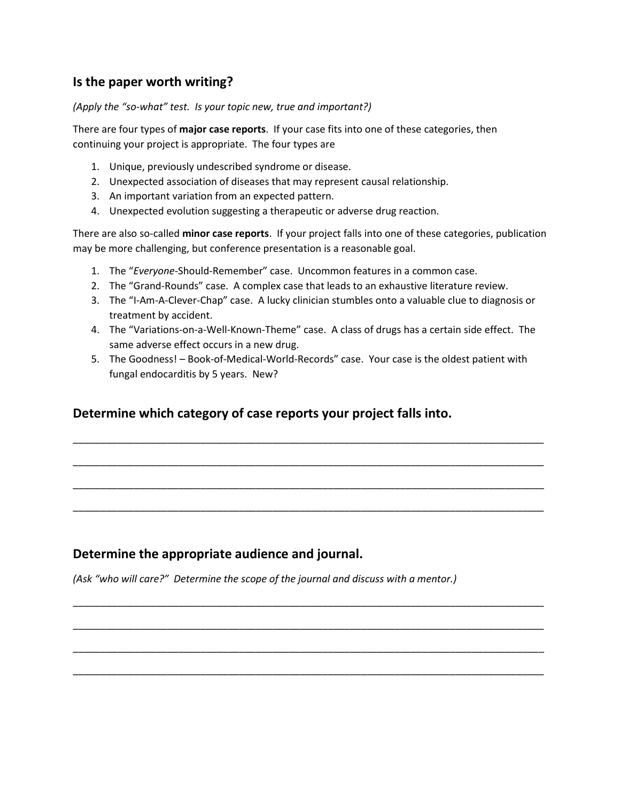## **Is the paper worth writing?**

*(Apply the "so-what" test. Is your topic new, true and important?)*

There are four types of **major case reports**. If your case fits into one of these categories, then continuing your project is appropriate. The four types are

- 1. Unique, previously undescribed syndrome or disease.
- 2. Unexpected association of diseases that may represent causal relationship.
- 3. An important variation from an expected pattern.
- 4. Unexpected evolution suggesting a therapeutic or adverse drug reaction.

There are also so-called **minor case reports**. If your project falls into one of these categories, publication may be more challenging, but conference presentation is a reasonable goal.

- 1. The "*Everyone*-Should-Remember" case. Uncommon features in a common case.
- 2. The "Grand-Rounds" case. A complex case that leads to an exhaustive literature review.
- 3. The "I-Am-A-Clever-Chap" case. A lucky clinician stumbles onto a valuable clue to diagnosis or treatment by accident.
- 4. The "Variations-on-a-Well-Known-Theme" case. A class of drugs has a certain side effect. The same adverse effect occurs in a new drug.
- 5. The Goodness! Book-of-Medical-World-Records" case. Your case is the oldest patient with fungal endocarditis by 5 years. New?

\_\_\_\_\_\_\_\_\_\_\_\_\_\_\_\_\_\_\_\_\_\_\_\_\_\_\_\_\_\_\_\_\_\_\_\_\_\_\_\_\_\_\_\_\_\_\_\_\_\_\_\_\_\_\_\_\_\_\_\_\_\_\_\_\_\_\_\_\_\_\_\_\_\_\_\_\_\_\_\_\_\_\_\_\_

\_\_\_\_\_\_\_\_\_\_\_\_\_\_\_\_\_\_\_\_\_\_\_\_\_\_\_\_\_\_\_\_\_\_\_\_\_\_\_\_\_\_\_\_\_\_\_\_\_\_\_\_\_\_\_\_\_\_\_\_\_\_\_\_\_\_\_\_\_\_\_\_\_\_\_\_\_\_\_\_\_\_\_\_\_

\_\_\_\_\_\_\_\_\_\_\_\_\_\_\_\_\_\_\_\_\_\_\_\_\_\_\_\_\_\_\_\_\_\_\_\_\_\_\_\_\_\_\_\_\_\_\_\_\_\_\_\_\_\_\_\_\_\_\_\_\_\_\_\_\_\_\_\_\_\_\_\_\_\_\_\_\_\_\_\_\_\_\_\_\_

\_\_\_\_\_\_\_\_\_\_\_\_\_\_\_\_\_\_\_\_\_\_\_\_\_\_\_\_\_\_\_\_\_\_\_\_\_\_\_\_\_\_\_\_\_\_\_\_\_\_\_\_\_\_\_\_\_\_\_\_\_\_\_\_\_\_\_\_\_\_\_\_\_\_\_\_\_\_\_\_\_\_\_\_\_

\_\_\_\_\_\_\_\_\_\_\_\_\_\_\_\_\_\_\_\_\_\_\_\_\_\_\_\_\_\_\_\_\_\_\_\_\_\_\_\_\_\_\_\_\_\_\_\_\_\_\_\_\_\_\_\_\_\_\_\_\_\_\_\_\_\_\_\_\_\_\_\_\_\_\_\_\_\_\_\_\_\_\_\_\_

\_\_\_\_\_\_\_\_\_\_\_\_\_\_\_\_\_\_\_\_\_\_\_\_\_\_\_\_\_\_\_\_\_\_\_\_\_\_\_\_\_\_\_\_\_\_\_\_\_\_\_\_\_\_\_\_\_\_\_\_\_\_\_\_\_\_\_\_\_\_\_\_\_\_\_\_\_\_\_\_\_\_\_\_\_

\_\_\_\_\_\_\_\_\_\_\_\_\_\_\_\_\_\_\_\_\_\_\_\_\_\_\_\_\_\_\_\_\_\_\_\_\_\_\_\_\_\_\_\_\_\_\_\_\_\_\_\_\_\_\_\_\_\_\_\_\_\_\_\_\_\_\_\_\_\_\_\_\_\_\_\_\_\_\_\_\_\_\_\_\_

\_\_\_\_\_\_\_\_\_\_\_\_\_\_\_\_\_\_\_\_\_\_\_\_\_\_\_\_\_\_\_\_\_\_\_\_\_\_\_\_\_\_\_\_\_\_\_\_\_\_\_\_\_\_\_\_\_\_\_\_\_\_\_\_\_\_\_\_\_\_\_\_\_\_\_\_\_\_\_\_\_\_\_\_\_

# **Determine which category of case reports your project falls into.**

### **Determine the appropriate audience and journal.**

*(Ask "who will care?" Determine the scope of the journal and discuss with a mentor.)*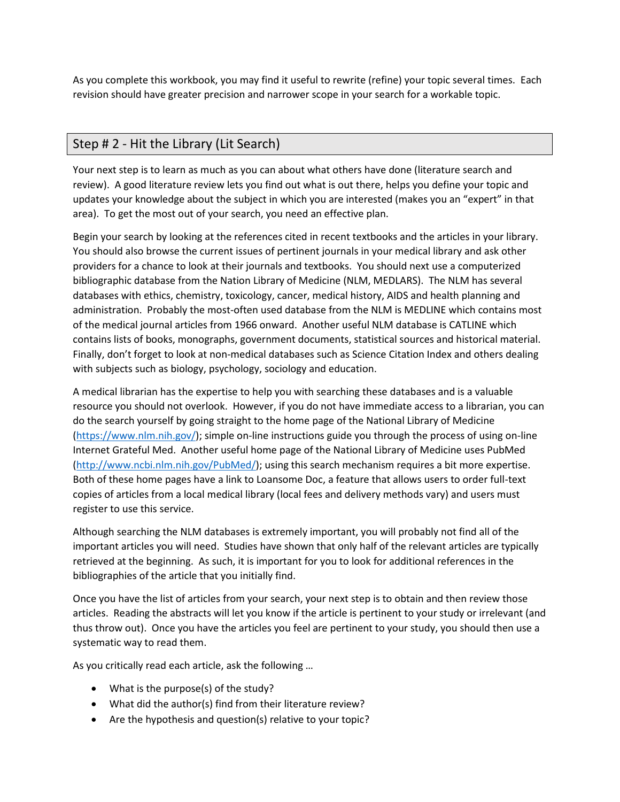As you complete this workbook, you may find it useful to rewrite (refine) your topic several times. Each revision should have greater precision and narrower scope in your search for a workable topic.

# Step # 2 - Hit the Library (Lit Search)

Your next step is to learn as much as you can about what others have done (literature search and review). A good literature review lets you find out what is out there, helps you define your topic and updates your knowledge about the subject in which you are interested (makes you an "expert" in that area). To get the most out of your search, you need an effective plan.

Begin your search by looking at the references cited in recent textbooks and the articles in your library. You should also browse the current issues of pertinent journals in your medical library and ask other providers for a chance to look at their journals and textbooks. You should next use a computerized bibliographic database from the Nation Library of Medicine (NLM, MEDLARS). The NLM has several databases with ethics, chemistry, toxicology, cancer, medical history, AIDS and health planning and administration. Probably the most-often used database from the NLM is MEDLINE which contains most of the medical journal articles from 1966 onward. Another useful NLM database is CATLINE which contains lists of books, monographs, government documents, statistical sources and historical material. Finally, don't forget to look at non-medical databases such as Science Citation Index and others dealing with subjects such as biology, psychology, sociology and education.

A medical librarian has the expertise to help you with searching these databases and is a valuable resource you should not overlook. However, if you do not have immediate access to a librarian, you can do the search yourself by going straight to the home page of the National Library of Medicine [\(https://www.nlm.nih.gov/\)](https://www.nlm.nih.gov/); simple on-line instructions guide you through the process of using on-line Internet Grateful Med. Another useful home page of the National Library of Medicine uses PubMed [\(http://www.ncbi.nlm.nih.gov/PubMed/\)](http://www.ncbi.nlm.nih.gov/PubMed/); using this search mechanism requires a bit more expertise. Both of these home pages have a link to Loansome Doc, a feature that allows users to order full-text copies of articles from a local medical library (local fees and delivery methods vary) and users must register to use this service.

Although searching the NLM databases is extremely important, you will probably not find all of the important articles you will need. Studies have shown that only half of the relevant articles are typically retrieved at the beginning. As such, it is important for you to look for additional references in the bibliographies of the article that you initially find.

Once you have the list of articles from your search, your next step is to obtain and then review those articles. Reading the abstracts will let you know if the article is pertinent to your study or irrelevant (and thus throw out). Once you have the articles you feel are pertinent to your study, you should then use a systematic way to read them.

As you critically read each article, ask the following …

- What is the purpose(s) of the study?
- What did the author(s) find from their literature review?
- Are the hypothesis and question(s) relative to your topic?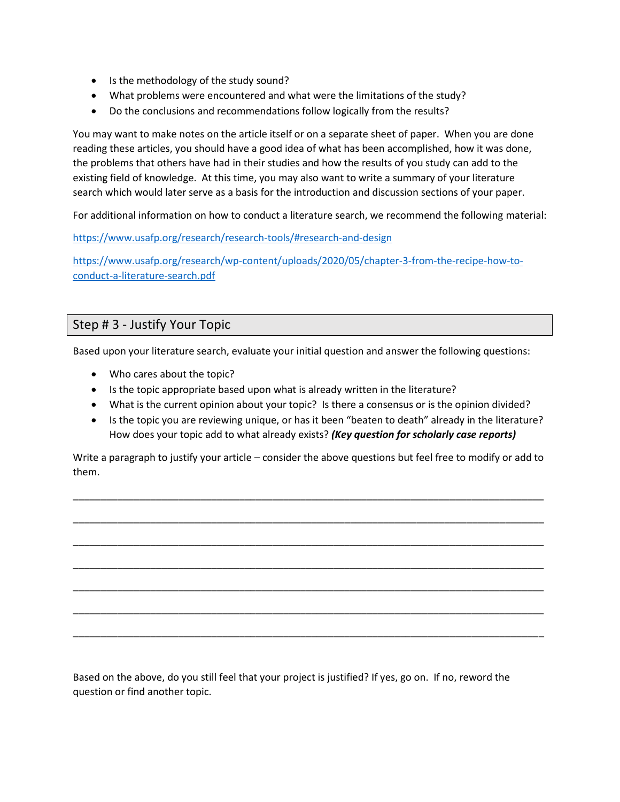- Is the methodology of the study sound?
- What problems were encountered and what were the limitations of the study?
- Do the conclusions and recommendations follow logically from the results?

You may want to make notes on the article itself or on a separate sheet of paper. When you are done reading these articles, you should have a good idea of what has been accomplished, how it was done, the problems that others have had in their studies and how the results of you study can add to the existing field of knowledge. At this time, you may also want to write a summary of your literature search which would later serve as a basis for the introduction and discussion sections of your paper.

For additional information on how to conduct a literature search, we recommend the following material:

<https://www.usafp.org/research/research-tools/#research-and-design>

[https://www.usafp.org/research/wp-content/uploads/2020/05/chapter-3-from-the-recipe-how-to](https://www.usafp.org/research/wp-content/uploads/2020/05/chapter-3-from-the-recipe-how-to-conduct-a-literature-search.pdf)[conduct-a-literature-search.pdf](https://www.usafp.org/research/wp-content/uploads/2020/05/chapter-3-from-the-recipe-how-to-conduct-a-literature-search.pdf)

### Step # 3 - Justify Your Topic

Based upon your literature search, evaluate your initial question and answer the following questions:

- Who cares about the topic?
- Is the topic appropriate based upon what is already written in the literature?
- What is the current opinion about your topic? Is there a consensus or is the opinion divided?
- Is the topic you are reviewing unique, or has it been "beaten to death" already in the literature? How does your topic add to what already exists? *(Key question for scholarly case reports)*

Write a paragraph to justify your article – consider the above questions but feel free to modify or add to them.

\_\_\_\_\_\_\_\_\_\_\_\_\_\_\_\_\_\_\_\_\_\_\_\_\_\_\_\_\_\_\_\_\_\_\_\_\_\_\_\_\_\_\_\_\_\_\_\_\_\_\_\_\_\_\_\_\_\_\_\_\_\_\_\_\_\_\_\_\_\_\_\_\_\_\_\_\_\_\_\_\_\_\_\_\_

\_\_\_\_\_\_\_\_\_\_\_\_\_\_\_\_\_\_\_\_\_\_\_\_\_\_\_\_\_\_\_\_\_\_\_\_\_\_\_\_\_\_\_\_\_\_\_\_\_\_\_\_\_\_\_\_\_\_\_\_\_\_\_\_\_\_\_\_\_\_\_\_\_\_\_\_\_\_\_\_\_\_\_\_\_

\_\_\_\_\_\_\_\_\_\_\_\_\_\_\_\_\_\_\_\_\_\_\_\_\_\_\_\_\_\_\_\_\_\_\_\_\_\_\_\_\_\_\_\_\_\_\_\_\_\_\_\_\_\_\_\_\_\_\_\_\_\_\_\_\_\_\_\_\_\_\_\_\_\_\_\_\_\_\_\_\_\_\_\_\_

\_\_\_\_\_\_\_\_\_\_\_\_\_\_\_\_\_\_\_\_\_\_\_\_\_\_\_\_\_\_\_\_\_\_\_\_\_\_\_\_\_\_\_\_\_\_\_\_\_\_\_\_\_\_\_\_\_\_\_\_\_\_\_\_\_\_\_\_\_\_\_\_\_\_\_\_\_\_\_\_\_\_\_\_\_

\_\_\_\_\_\_\_\_\_\_\_\_\_\_\_\_\_\_\_\_\_\_\_\_\_\_\_\_\_\_\_\_\_\_\_\_\_\_\_\_\_\_\_\_\_\_\_\_\_\_\_\_\_\_\_\_\_\_\_\_\_\_\_\_\_\_\_\_\_\_\_\_\_\_\_\_\_\_\_\_\_\_\_\_\_

\_\_\_\_\_\_\_\_\_\_\_\_\_\_\_\_\_\_\_\_\_\_\_\_\_\_\_\_\_\_\_\_\_\_\_\_\_\_\_\_\_\_\_\_\_\_\_\_\_\_\_\_\_\_\_\_\_\_\_\_\_\_\_\_\_\_\_\_\_\_\_\_\_\_\_\_\_\_\_\_\_\_\_\_\_

\_\_\_\_\_\_\_\_\_\_\_\_\_\_\_\_\_\_\_\_\_\_\_\_\_\_\_\_\_\_\_\_\_\_\_\_\_\_\_\_\_\_\_\_\_\_\_\_\_\_\_\_\_\_\_\_\_\_\_\_\_\_\_\_\_\_\_\_\_\_\_\_\_\_\_\_\_\_\_\_\_\_\_\_\_

Based on the above, do you still feel that your project is justified? If yes, go on. If no, reword the question or find another topic.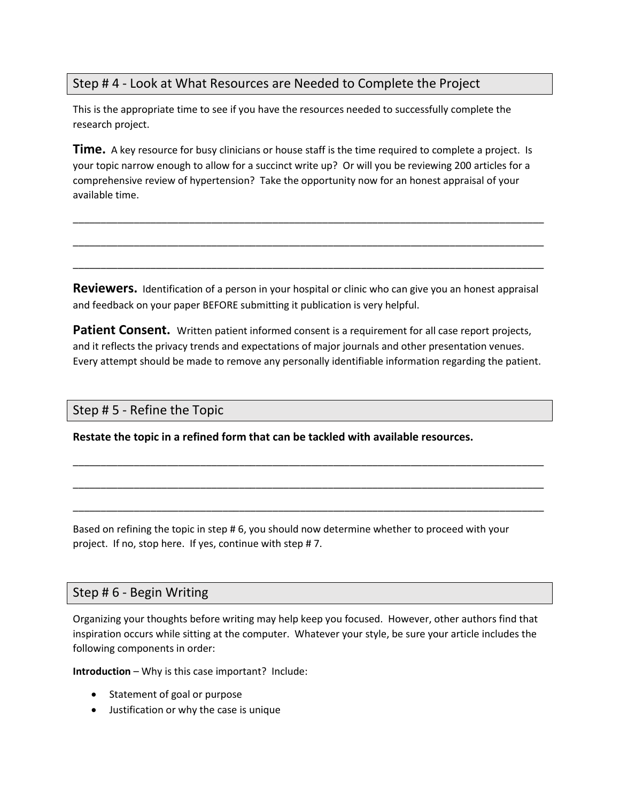## Step # 4 - Look at What Resources are Needed to Complete the Project

This is the appropriate time to see if you have the resources needed to successfully complete the research project.

**Time.** A key resource for busy clinicians or house staff is the time required to complete a project. Is your topic narrow enough to allow for a succinct write up? Or will you be reviewing 200 articles for a comprehensive review of hypertension? Take the opportunity now for an honest appraisal of your available time.

\_\_\_\_\_\_\_\_\_\_\_\_\_\_\_\_\_\_\_\_\_\_\_\_\_\_\_\_\_\_\_\_\_\_\_\_\_\_\_\_\_\_\_\_\_\_\_\_\_\_\_\_\_\_\_\_\_\_\_\_\_\_\_\_\_\_\_\_\_\_\_\_\_\_\_\_\_\_\_\_\_\_\_\_\_

\_\_\_\_\_\_\_\_\_\_\_\_\_\_\_\_\_\_\_\_\_\_\_\_\_\_\_\_\_\_\_\_\_\_\_\_\_\_\_\_\_\_\_\_\_\_\_\_\_\_\_\_\_\_\_\_\_\_\_\_\_\_\_\_\_\_\_\_\_\_\_\_\_\_\_\_\_\_\_\_\_\_\_\_\_

\_\_\_\_\_\_\_\_\_\_\_\_\_\_\_\_\_\_\_\_\_\_\_\_\_\_\_\_\_\_\_\_\_\_\_\_\_\_\_\_\_\_\_\_\_\_\_\_\_\_\_\_\_\_\_\_\_\_\_\_\_\_\_\_\_\_\_\_\_\_\_\_\_\_\_\_\_\_\_\_\_\_\_\_\_

**Reviewers.** Identification of a person in your hospital or clinic who can give you an honest appraisal and feedback on your paper BEFORE submitting it publication is very helpful.

**Patient Consent.** Written patient informed consent is a requirement for all case report projects, and it reflects the privacy trends and expectations of major journals and other presentation venues. Every attempt should be made to remove any personally identifiable information regarding the patient.

\_\_\_\_\_\_\_\_\_\_\_\_\_\_\_\_\_\_\_\_\_\_\_\_\_\_\_\_\_\_\_\_\_\_\_\_\_\_\_\_\_\_\_\_\_\_\_\_\_\_\_\_\_\_\_\_\_\_\_\_\_\_\_\_\_\_\_\_\_\_\_\_\_\_\_\_\_\_\_\_\_\_\_\_\_

\_\_\_\_\_\_\_\_\_\_\_\_\_\_\_\_\_\_\_\_\_\_\_\_\_\_\_\_\_\_\_\_\_\_\_\_\_\_\_\_\_\_\_\_\_\_\_\_\_\_\_\_\_\_\_\_\_\_\_\_\_\_\_\_\_\_\_\_\_\_\_\_\_\_\_\_\_\_\_\_\_\_\_\_\_

\_\_\_\_\_\_\_\_\_\_\_\_\_\_\_\_\_\_\_\_\_\_\_\_\_\_\_\_\_\_\_\_\_\_\_\_\_\_\_\_\_\_\_\_\_\_\_\_\_\_\_\_\_\_\_\_\_\_\_\_\_\_\_\_\_\_\_\_\_\_\_\_\_\_\_\_\_\_\_\_\_\_\_\_\_

### Step # 5 - Refine the Topic

**Restate the topic in a refined form that can be tackled with available resources.**

Based on refining the topic in step # 6, you should now determine whether to proceed with your project. If no, stop here. If yes, continue with step # 7.

### Step # 6 - Begin Writing

Organizing your thoughts before writing may help keep you focused. However, other authors find that inspiration occurs while sitting at the computer. Whatever your style, be sure your article includes the following components in order:

**Introduction** – Why is this case important? Include:

- Statement of goal or purpose
- Justification or why the case is unique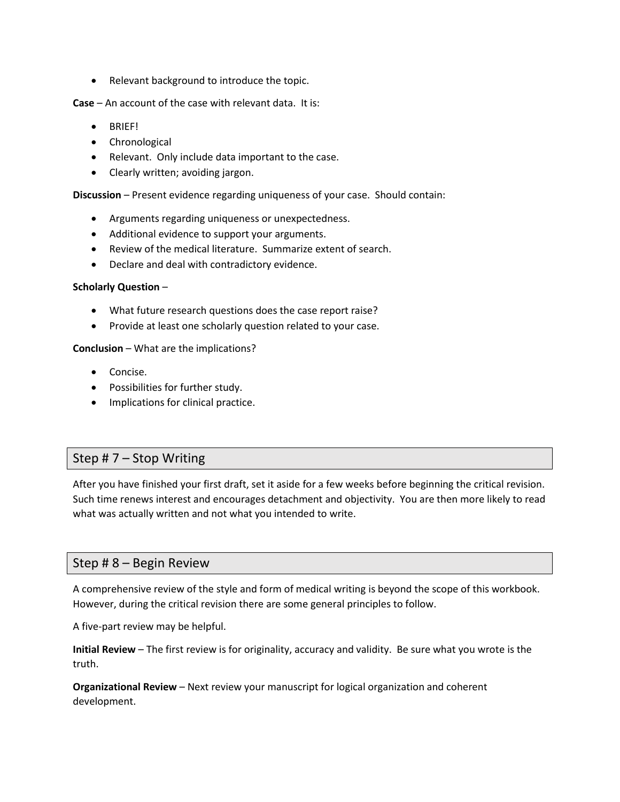• Relevant background to introduce the topic.

**Case** – An account of the case with relevant data. It is:

- BRIEF!
- Chronological
- Relevant. Only include data important to the case.
- Clearly written; avoiding jargon.

**Discussion** – Present evidence regarding uniqueness of your case. Should contain:

- Arguments regarding uniqueness or unexpectedness.
- Additional evidence to support your arguments.
- Review of the medical literature. Summarize extent of search.
- Declare and deal with contradictory evidence.

#### **Scholarly Question** –

- What future research questions does the case report raise?
- Provide at least one scholarly question related to your case.

#### **Conclusion** – What are the implications?

- Concise.
- Possibilities for further study.
- Implications for clinical practice.

### Step # 7 – Stop Writing

After you have finished your first draft, set it aside for a few weeks before beginning the critical revision. Such time renews interest and encourages detachment and objectivity. You are then more likely to read what was actually written and not what you intended to write.

### Step # 8 – Begin Review

A comprehensive review of the style and form of medical writing is beyond the scope of this workbook. However, during the critical revision there are some general principles to follow.

A five-part review may be helpful.

**Initial Review** – The first review is for originality, accuracy and validity. Be sure what you wrote is the truth.

**Organizational Review** – Next review your manuscript for logical organization and coherent development.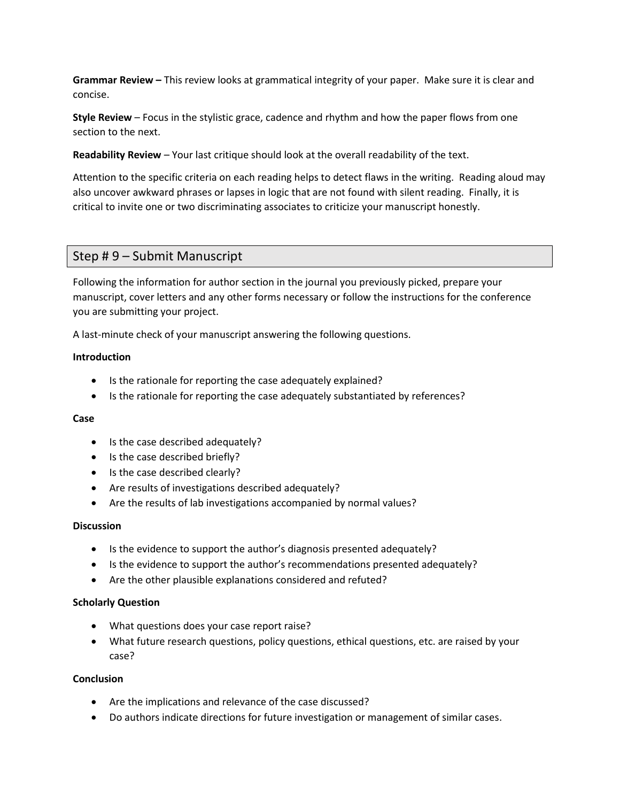**Grammar Review –** This review looks at grammatical integrity of your paper. Make sure it is clear and concise.

**Style Review** – Focus in the stylistic grace, cadence and rhythm and how the paper flows from one section to the next.

**Readability Review** – Your last critique should look at the overall readability of the text.

Attention to the specific criteria on each reading helps to detect flaws in the writing. Reading aloud may also uncover awkward phrases or lapses in logic that are not found with silent reading. Finally, it is critical to invite one or two discriminating associates to criticize your manuscript honestly.

### Step # 9 – Submit Manuscript

Following the information for author section in the journal you previously picked, prepare your manuscript, cover letters and any other forms necessary or follow the instructions for the conference you are submitting your project.

A last-minute check of your manuscript answering the following questions.

#### **Introduction**

- Is the rationale for reporting the case adequately explained?
- Is the rationale for reporting the case adequately substantiated by references?

#### **Case**

- Is the case described adequately?
- Is the case described briefly?
- Is the case described clearly?
- Are results of investigations described adequately?
- Are the results of lab investigations accompanied by normal values?

#### **Discussion**

- Is the evidence to support the author's diagnosis presented adequately?
- Is the evidence to support the author's recommendations presented adequately?
- Are the other plausible explanations considered and refuted?

#### **Scholarly Question**

- What questions does your case report raise?
- What future research questions, policy questions, ethical questions, etc. are raised by your case?

#### **Conclusion**

- Are the implications and relevance of the case discussed?
- Do authors indicate directions for future investigation or management of similar cases.